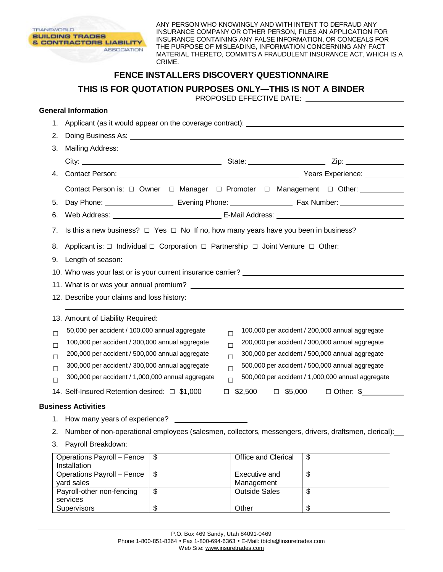

ANY PERSON WHO KNOWINGLY AND WITH INTENT TO DEFRAUD ANY INSURANCE COMPANY OR OTHER PERSON, FILES AN APPLICATION FOR INSURANCE CONTAINING ANY FALSE INFORMATION, OR CONCEALS FOR THE PURPOSE OF MISLEADING, INFORMATION CONCERNING ANY FACT MATERIAL THERETO, COMMITS A FRAUDULENT INSURANCE ACT, WHICH IS A CRIME.

## **FENCE INSTALLERS DISCOVERY QUESTIONNAIRE**

**THIS IS FOR QUOTATION PURPOSES ONLY—THIS IS NOT A BINDER** 

PROPOSED EFFECTIVE DATE:

## **General Information**

| 1.                              |                                                                                                                                                                                                                                                                                                               |                          |                                                                                                                                                                                                                                                                                                                                                                      | Applicant (as it would appear on the coverage contract): ________________________                     |  |  |
|---------------------------------|---------------------------------------------------------------------------------------------------------------------------------------------------------------------------------------------------------------------------------------------------------------------------------------------------------------|--------------------------|----------------------------------------------------------------------------------------------------------------------------------------------------------------------------------------------------------------------------------------------------------------------------------------------------------------------------------------------------------------------|-------------------------------------------------------------------------------------------------------|--|--|
| 2.                              |                                                                                                                                                                                                                                                                                                               |                          |                                                                                                                                                                                                                                                                                                                                                                      |                                                                                                       |  |  |
| 3.                              |                                                                                                                                                                                                                                                                                                               |                          |                                                                                                                                                                                                                                                                                                                                                                      |                                                                                                       |  |  |
|                                 |                                                                                                                                                                                                                                                                                                               |                          |                                                                                                                                                                                                                                                                                                                                                                      |                                                                                                       |  |  |
| 4.                              |                                                                                                                                                                                                                                                                                                               |                          |                                                                                                                                                                                                                                                                                                                                                                      |                                                                                                       |  |  |
|                                 |                                                                                                                                                                                                                                                                                                               |                          |                                                                                                                                                                                                                                                                                                                                                                      | Contact Person is: $\Box$ Owner $\Box$ Manager $\Box$ Promoter $\Box$ Management $\Box$ Other:        |  |  |
| 5.                              |                                                                                                                                                                                                                                                                                                               |                          |                                                                                                                                                                                                                                                                                                                                                                      |                                                                                                       |  |  |
| 6.                              |                                                                                                                                                                                                                                                                                                               |                          |                                                                                                                                                                                                                                                                                                                                                                      |                                                                                                       |  |  |
| 7.                              | Is this a new business? $\Box$ Yes $\Box$ No If no, how many years have you been in business?<br>Applicant is: $\Box$ Individual $\Box$ Corporation $\Box$ Partnership $\Box$ Joint Venture $\Box$ Other:                                                                                                     |                          |                                                                                                                                                                                                                                                                                                                                                                      |                                                                                                       |  |  |
| 8.                              |                                                                                                                                                                                                                                                                                                               |                          |                                                                                                                                                                                                                                                                                                                                                                      |                                                                                                       |  |  |
| 9.                              |                                                                                                                                                                                                                                                                                                               |                          |                                                                                                                                                                                                                                                                                                                                                                      |                                                                                                       |  |  |
|                                 | 10. Who was your last or is your current insurance carrier?                                                                                                                                                                                                                                                   |                          |                                                                                                                                                                                                                                                                                                                                                                      |                                                                                                       |  |  |
|                                 |                                                                                                                                                                                                                                                                                                               |                          |                                                                                                                                                                                                                                                                                                                                                                      |                                                                                                       |  |  |
|                                 |                                                                                                                                                                                                                                                                                                               |                          |                                                                                                                                                                                                                                                                                                                                                                      |                                                                                                       |  |  |
|                                 | 13. Amount of Liability Required:                                                                                                                                                                                                                                                                             |                          |                                                                                                                                                                                                                                                                                                                                                                      |                                                                                                       |  |  |
| П<br>$\Box$<br>П<br>$\Box$<br>П | 50,000 per accident / 100,000 annual aggregate<br>100,000 per accident / 300,000 annual aggregate<br>200,000 per accident / 500,000 annual aggregate<br>300,000 per accident / 300,000 annual aggregate<br>300,000 per accident / 1,000,000 annual aggregate<br>14. Self-Insured Retention desired: □ \$1,000 |                          | 100,000 per accident / 200,000 annual aggregate<br>$\Box$<br>200,000 per accident / 300,000 annual aggregate<br>$\Box$<br>300,000 per accident / 500,000 annual aggregate<br>$\Box$<br>500,000 per accident / 500,000 annual aggregate<br>$\Box$<br>500,000 per accident / 1,000,000 annual aggregate<br>$\Box$<br>$\Box$ \$2,500 $\Box$ \$5,000<br>$\Box$ Other: \$ |                                                                                                       |  |  |
|                                 | <b>Business Activities</b>                                                                                                                                                                                                                                                                                    |                          |                                                                                                                                                                                                                                                                                                                                                                      |                                                                                                       |  |  |
|                                 | 1. How many years of experience?                                                                                                                                                                                                                                                                              |                          |                                                                                                                                                                                                                                                                                                                                                                      |                                                                                                       |  |  |
| 2.                              |                                                                                                                                                                                                                                                                                                               |                          |                                                                                                                                                                                                                                                                                                                                                                      | Number of non-operational employees (salesmen, collectors, messengers, drivers, draftsmen, clerical): |  |  |
|                                 | 3. Payroll Breakdown:                                                                                                                                                                                                                                                                                         |                          |                                                                                                                                                                                                                                                                                                                                                                      |                                                                                                       |  |  |
|                                 | <b>Operations Payroll - Fence</b><br>$In a+all a+ion$                                                                                                                                                                                                                                                         | $\overline{\mathcal{S}}$ | Office and Clerical                                                                                                                                                                                                                                                                                                                                                  | $\overline{\mathbf{S}}$                                                                               |  |  |

| Operations Payroll – Fence $\frac{1}{2}$<br>Installation |    | Office and Clerical         |    |
|----------------------------------------------------------|----|-----------------------------|----|
| Operations Payroll – Fence $\frac{1}{5}$<br>vard sales   |    | Executive and<br>Management | ۰D |
| Payroll-other non-fencing<br>services                    | S. | <b>Outside Sales</b>        | ۰D |
| Supervisors                                              |    | Other                       |    |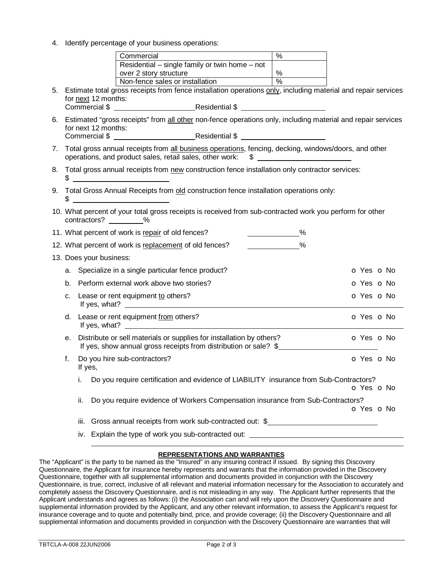4. Identify percentage of your business operations:

| Commercial                                                                                                  | % |  |
|-------------------------------------------------------------------------------------------------------------|---|--|
| Residential $-$ single family or twin home $-$ not                                                          |   |  |
| over 2 story structure                                                                                      | % |  |
| Non-fence sales or installation                                                                             | % |  |
| ومراجعتها والمتحدث ويتعالى والمتاري المتواصل والمستحدث ومتلو الملحما ومحتمل ووصائح وليتام ومروح ومحسب الملا |   |  |

- 5. Estimate total gross receipts from fence installation operations only, including material and repair services for next 12 months: Commercial \$ Residential \$
- 6. Estimated "gross receipts" from all other non-fence operations only, including material and repair services for next 12 months: Commercial \$ Residential \$
- 7. Total gross annual receipts from all business operations, fencing, decking, windows/doors, and other operations, and product sales, retail sales, other work: \$
- 8. Total gross annual receipts from new construction fence installation only contractor services:  $\frac{1}{2}$
- 9. Total Gross Annual Receipts from old construction fence installation operations only:  $\sim$
- 10. What percent of your total gross receipts is received from sub-contracted work you perform for other contractors? \_\_\_\_\_\_\_\_%

|    | 11. What percent of work is repair of old fences?<br>%                                                                                   |                          |  |
|----|------------------------------------------------------------------------------------------------------------------------------------------|--------------------------|--|
|    | 12. What percent of work is replacement of old fences?<br>%                                                                              |                          |  |
|    | 13. Does your business:                                                                                                                  |                          |  |
|    | a. Specialize in a single particular fence product?                                                                                      | <b>O</b> Yes <b>O</b> No |  |
| b. | Perform external work above two stories?                                                                                                 | O Yes O No               |  |
| C. | Lease or rent equipment to others?<br>If yes, what?                                                                                      | <b>O</b> Yes <b>O</b> No |  |
|    | d. Lease or rent equipment from others?<br>If yes, what? $\qquad \qquad$                                                                 | <b>O</b> Yes <b>O</b> No |  |
| е. | Distribute or sell materials or supplies for installation by others?<br>If yes, show annual gross receipts from distribution or sale? \$ | <b>O</b> Yes <b>O</b> No |  |
| f. | Do you hire sub-contractors?<br>If yes,                                                                                                  | O Yes O No               |  |
|    | Do you require certification and evidence of LIABILITY insurance from Sub-Contractors?<br>i.                                             | <b>O</b> Yes <b>O</b> No |  |
|    | ii.<br>Do you require evidence of Workers Compensation insurance from Sub-Contractors?                                                   | O Yes O No               |  |
|    | Gross annual receipts from work sub-contracted out: \$<br>iii.                                                                           |                          |  |
|    | iv. Explain the type of work you sub-contracted out:                                                                                     |                          |  |

## **REPRESENTATIONS AND WARRANTIES**

The "Applicant" is the party to be named as the "Insured" in any insuring contract if issued. By signing this Discovery Questionnaire, the Applicant for insurance hereby represents and warrants that the information provided in the Discovery Questionnaire, together with all supplemental information and documents provided in conjunction with the Discovery Questionnaire, is true, correct, inclusive of all relevant and material information necessary for the Association to accurately and completely assess the Discovery Questionnaire, and is not misleading in any way. The Applicant further represents that the Applicant understands and agrees as follows: (i) the Association can and will rely upon the Discovery Questionnaire and supplemental information provided by the Applicant, and any other relevant information, to assess the Applicant's request for insurance coverage and to quote and potentially bind, price, and provide coverage; (ii) the Discovery Questionnaire and all supplemental information and documents provided in conjunction with the Discovery Questionnaire are warranties that will